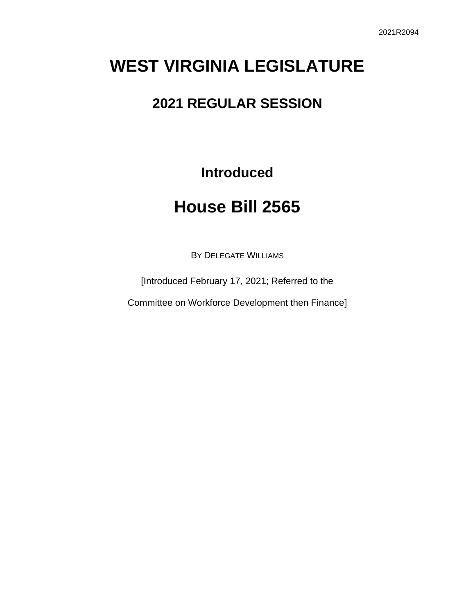# **WEST VIRGINIA LEGISLATURE**

### **2021 REGULAR SESSION**

**Introduced**

## **House Bill 2565**

BY DELEGATE WILLIAMS

[Introduced February 17, 2021; Referred to the

Committee on Workforce Development then Finance]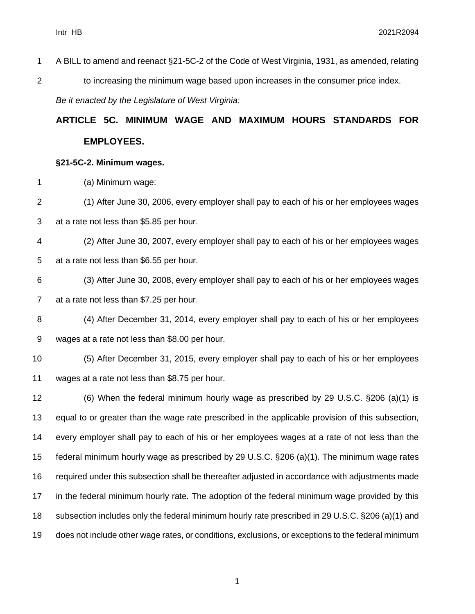A BILL to amend and reenact §21-5C-2 of the Code of West Virginia, 1931, as amended, relating 2 to increasing the minimum wage based upon increases in the consumer price index. *Be it enacted by the Legislature of West Virginia:*

## **ARTICLE 5C. MINIMUM WAGE AND MAXIMUM HOURS STANDARDS FOR EMPLOYEES.**

#### **§21-5C-2. Minimum wages.**

(a) Minimum wage:

- (1) After June 30, 2006, every employer shall pay to each of his or her employees wages at a rate not less than \$5.85 per hour.
- (2) After June 30, 2007, every employer shall pay to each of his or her employees wages at a rate not less than \$6.55 per hour.
- (3) After June 30, 2008, every employer shall pay to each of his or her employees wages at a rate not less than \$7.25 per hour.
- (4) After December 31, 2014, every employer shall pay to each of his or her employees wages at a rate not less than \$8.00 per hour.
- (5) After December 31, 2015, every employer shall pay to each of his or her employees wages at a rate not less than \$8.75 per hour.
- (6) When the federal minimum hourly wage as prescribed by 29 U.S.C. §206 (a)(1) is equal to or greater than the wage rate prescribed in the applicable provision of this subsection, every employer shall pay to each of his or her employees wages at a rate of not less than the federal minimum hourly wage as prescribed by 29 U.S.C. §206 (a)(1). The minimum wage rates required under this subsection shall be thereafter adjusted in accordance with adjustments made in the federal minimum hourly rate. The adoption of the federal minimum wage provided by this subsection includes only the federal minimum hourly rate prescribed in 29 U.S.C. §206 (a)(1) and does not include other wage rates, or conditions, exclusions, or exceptions to the federal minimum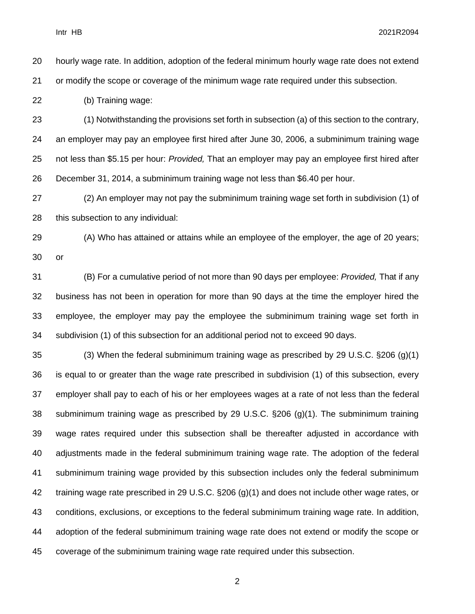Intr HB 2021R2094

hourly wage rate. In addition, adoption of the federal minimum hourly wage rate does not extend

or modify the scope or coverage of the minimum wage rate required under this subsection.

(b) Training wage:

 (1) Notwithstanding the provisions set forth in subsection (a) of this section to the contrary, an employer may pay an employee first hired after June 30, 2006, a subminimum training wage not less than \$5.15 per hour: *Provided,* That an employer may pay an employee first hired after December 31, 2014, a subminimum training wage not less than \$6.40 per hour.

 (2) An employer may not pay the subminimum training wage set forth in subdivision (1) of this subsection to any individual:

(A) Who has attained or attains while an employee of the employer, the age of 20 years;

or

 (B) For a cumulative period of not more than 90 days per employee: *Provided,* That if any business has not been in operation for more than 90 days at the time the employer hired the employee, the employer may pay the employee the subminimum training wage set forth in subdivision (1) of this subsection for an additional period not to exceed 90 days.

 (3) When the federal subminimum training wage as prescribed by 29 U.S.C. §206 (g)(1) is equal to or greater than the wage rate prescribed in subdivision (1) of this subsection, every employer shall pay to each of his or her employees wages at a rate of not less than the federal subminimum training wage as prescribed by 29 U.S.C. §206 (g)(1). The subminimum training wage rates required under this subsection shall be thereafter adjusted in accordance with adjustments made in the federal subminimum training wage rate. The adoption of the federal subminimum training wage provided by this subsection includes only the federal subminimum training wage rate prescribed in 29 U.S.C. §206 (g)(1) and does not include other wage rates, or conditions, exclusions, or exceptions to the federal subminimum training wage rate. In addition, adoption of the federal subminimum training wage rate does not extend or modify the scope or coverage of the subminimum training wage rate required under this subsection.